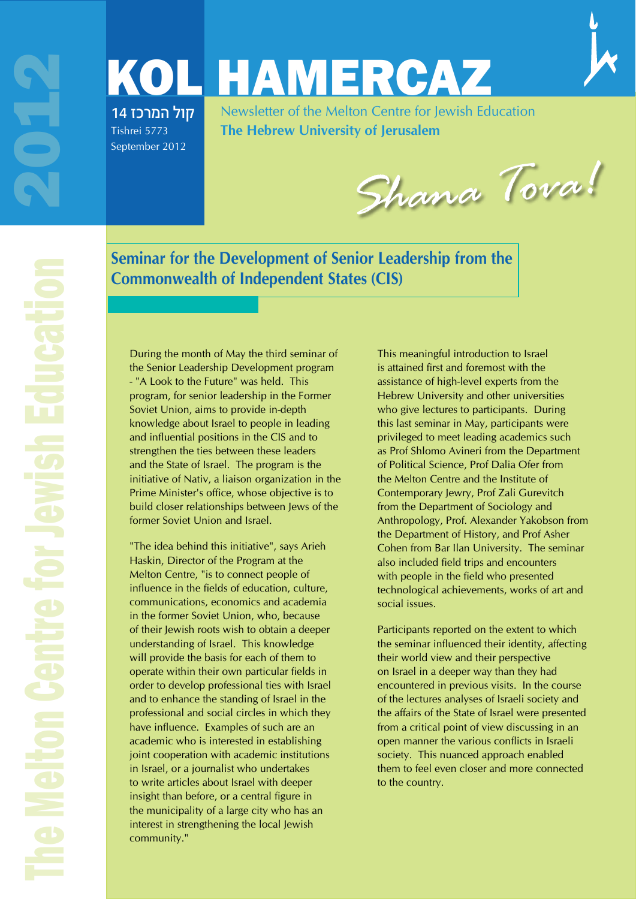# KOL HAMERCAZ קול המרכז 14

Tishrei 5773 September 2012

Newsletter of the Melton Centre for Jewish Education **The Hebrew University of Jerusalem**

*Shana Tova!*

**Seminar for the Development of Senior Leadership from the Commonwealth of Independent States (CIS)** 

During the month of May the third seminar of the Senior Leadership Development program - "A Look to the Future" was held. This program, for senior leadership in the Former Soviet Union, aims to provide in-depth knowledge about Israel to people in leading and influential positions in the CIS and to strengthen the ties between these leaders and the State of Israel. The program is the initiative of Nativ, a liaison organization in the Prime Minister's office, whose objective is to build closer relationships between Jews of the former Soviet Union and Israel.

"The idea behind this initiative", says Arieh Haskin, Director of the Program at the Melton Centre, "is to connect people of influence in the fields of education, culture, communications, economics and academia in the former Soviet Union, who, because of their Jewish roots wish to obtain a deeper understanding of Israel. This knowledge will provide the basis for each of them to operate within their own particular fields in order to develop professional ties with Israel and to enhance the standing of Israel in the professional and social circles in which they have influence. Examples of such are an academic who is interested in establishing joint cooperation with academic institutions in Israel, or a journalist who undertakes to write articles about Israel with deeper insight than before, or a central figure in the municipality of a large city who has an interest in strengthening the local Jewish community."

This meaningful introduction to Israel is attained first and foremost with the assistance of high-level experts from the Hebrew University and other universities who give lectures to participants. During this last seminar in May, participants were privileged to meet leading academics such as Prof Shlomo Avineri from the Department of Political Science, Prof Dalia Ofer from the Melton Centre and the Institute of Contemporary Jewry, Prof Zali Gurevitch from the Department of Sociology and Anthropology, Prof. Alexander Yakobson from the Department of History, and Prof Asher Cohen from Bar Ilan University. The seminar also included field trips and encounters with people in the field who presented technological achievements, works of art and social issues.

Participants reported on the extent to which the seminar influenced their identity, affecting their world view and their perspective on Israel in a deeper way than they had encountered in previous visits. In the course of the lectures analyses of Israeli society and the affairs of the State of Israel were presented from a critical point of view discussing in an open manner the various conflicts in Israeli society. This nuanced approach enabled them to feel even closer and more connected to the country.